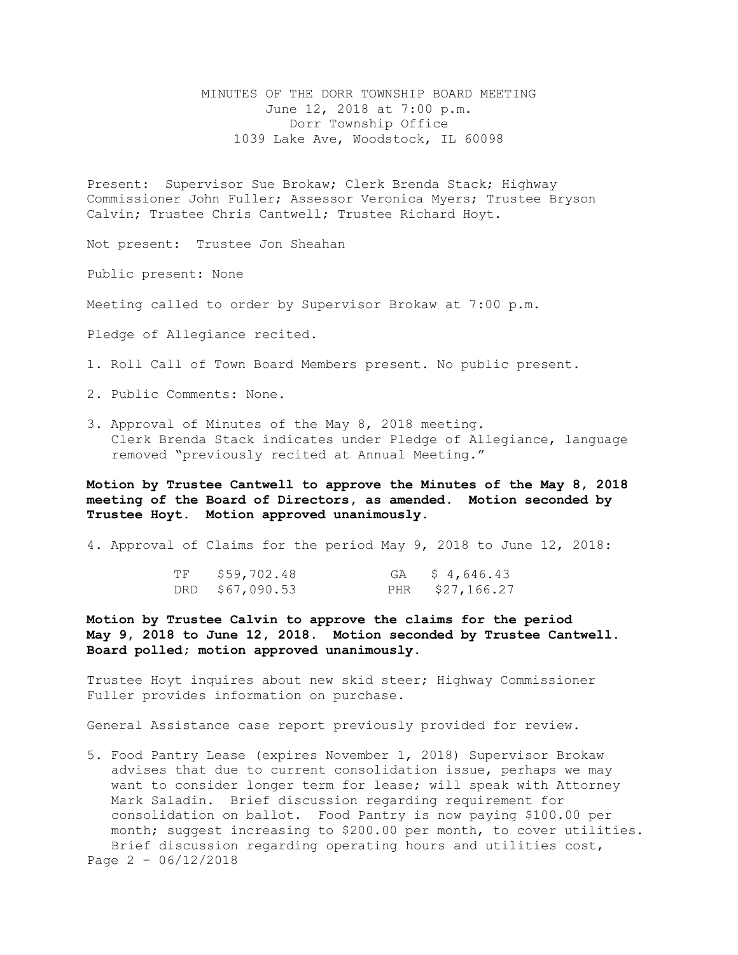MINUTES OF THE DORR TOWNSHIP BOARD MEETING June 12, 2018 at 7:00 p.m. Dorr Township Office 1039 Lake Ave, Woodstock, IL 60098

Present: Supervisor Sue Brokaw; Clerk Brenda Stack; Highway Commissioner John Fuller; Assessor Veronica Myers; Trustee Bryson Calvin; Trustee Chris Cantwell; Trustee Richard Hoyt.

Not present: Trustee Jon Sheahan

Public present: None

Meeting called to order by Supervisor Brokaw at 7:00 p.m.

Pledge of Allegiance recited.

1. Roll Call of Town Board Members present. No public present.

2. Public Comments: None.

3. Approval of Minutes of the May 8, 2018 meeting. Clerk Brenda Stack indicates under Pledge of Allegiance, language removed "previously recited at Annual Meeting."

**Motion by Trustee Cantwell to approve the Minutes of the May 8, 2018 meeting of the Board of Directors, as amended. Motion seconded by Trustee Hoyt. Motion approved unanimously.**

4. Approval of Claims for the period May 9, 2018 to June 12, 2018:

| TF | \$59,702.48     | GA \$4,646.43   |
|----|-----------------|-----------------|
|    | DRD \$67,090.53 | PHR \$27,166.27 |

**Motion by Trustee Calvin to approve the claims for the period May 9, 2018 to June 12, 2018. Motion seconded by Trustee Cantwell. Board polled; motion approved unanimously.**

Trustee Hoyt inquires about new skid steer; Highway Commissioner Fuller provides information on purchase.

General Assistance case report previously provided for review.

5. Food Pantry Lease (expires November 1, 2018) Supervisor Brokaw advises that due to current consolidation issue, perhaps we may want to consider longer term for lease; will speak with Attorney Mark Saladin. Brief discussion regarding requirement for consolidation on ballot. Food Pantry is now paying \$100.00 per month; suggest increasing to \$200.00 per month, to cover utilities. Brief discussion regarding operating hours and utilities cost, Page 2 – 06/12/2018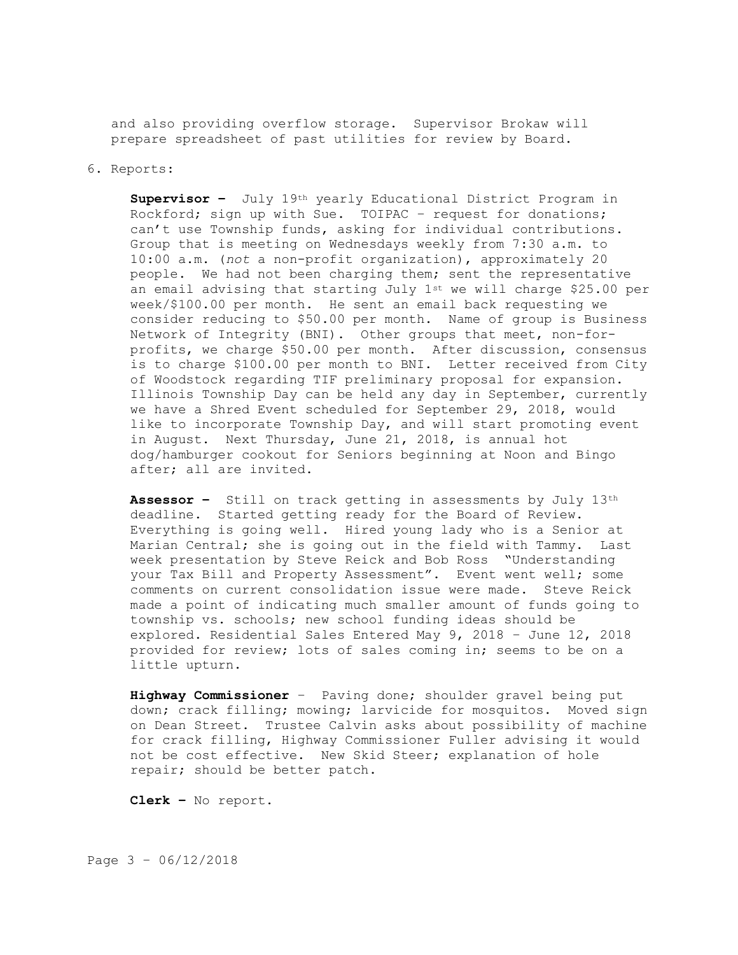and also providing overflow storage. Supervisor Brokaw will prepare spreadsheet of past utilities for review by Board.

## 6. Reports:

**Supervisor –** July 19th yearly Educational District Program in Rockford; sign up with Sue. TOIPAC – request for donations; can't use Township funds, asking for individual contributions. Group that is meeting on Wednesdays weekly from 7:30 a.m. to 10:00 a.m. (*not* a non-profit organization), approximately 20 people. We had not been charging them; sent the representative an email advising that starting July  $1^{st}$  we will charge \$25.00 per week/\$100.00 per month. He sent an email back requesting we consider reducing to \$50.00 per month. Name of group is Business Network of Integrity (BNI). Other groups that meet, non-forprofits, we charge \$50.00 per month. After discussion, consensus is to charge \$100.00 per month to BNI. Letter received from City of Woodstock regarding TIF preliminary proposal for expansion. Illinois Township Day can be held any day in September, currently we have a Shred Event scheduled for September 29, 2018, would like to incorporate Township Day, and will start promoting event in August. Next Thursday, June 21, 2018, is annual hot dog/hamburger cookout for Seniors beginning at Noon and Bingo after; all are invited.

**Assessor –** Still on track getting in assessments by July 13th deadline. Started getting ready for the Board of Review. Everything is going well. Hired young lady who is a Senior at Marian Central; she is going out in the field with Tammy. Last week presentation by Steve Reick and Bob Ross "Understanding your Tax Bill and Property Assessment". Event went well; some comments on current consolidation issue were made. Steve Reick made a point of indicating much smaller amount of funds going to township vs. schools; new school funding ideas should be explored. Residential Sales Entered May 9, 2018 – June 12, 2018 provided for review; lots of sales coming in; seems to be on a little upturn.

**Highway Commissioner** – Paving done; shoulder gravel being put down; crack filling; mowing; larvicide for mosquitos. Moved sign on Dean Street. Trustee Calvin asks about possibility of machine for crack filling, Highway Commissioner Fuller advising it would not be cost effective. New Skid Steer; explanation of hole repair; should be better patch.

**Clerk –** No report.

Page 3 – 06/12/2018